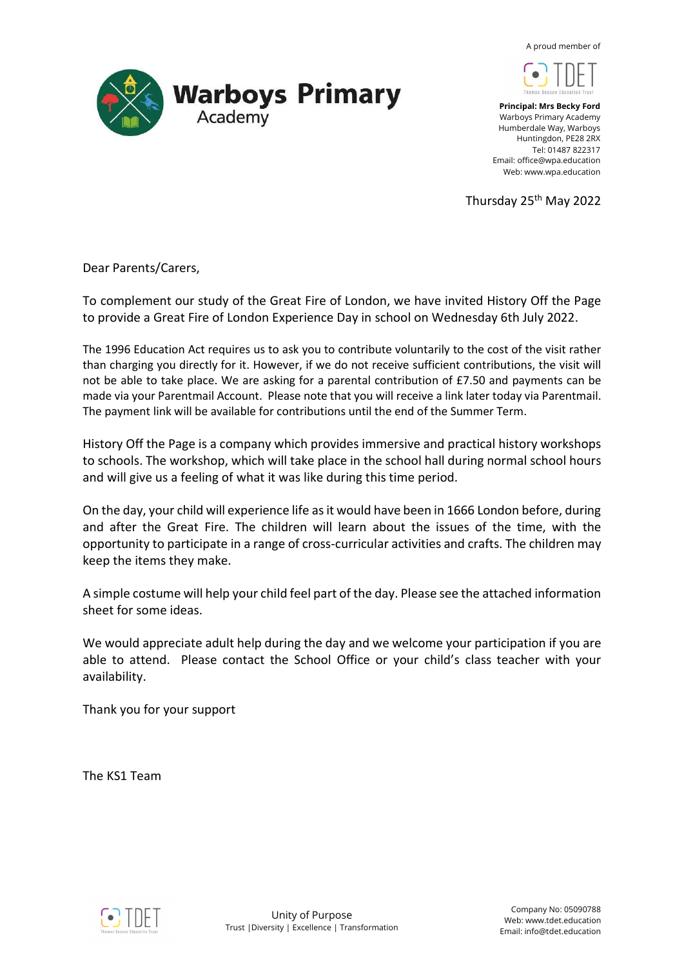$\lambda$  proud member of





Principal: Mrs Becky Ford Warboys Primary Academy Humberdale Way, Warboys Huntingdon, PE28 2RX Tel: 01487 822317 Email: office@wpa.education Web: www.wpa.education

Thursday 25<sup>th</sup> May 2022

Dear Parents/Carers,

To complement our study of the Great Fire of London, we have invited History Off the Page to provide a Great Fire of London Experience Day in school on Wednesday 6th July 2022.

The 1996 Education Act requires us to ask you to contribute voluntarily to the cost of the visit rather than charging you directly for it. However, if we do not receive sufficient contributions, the visit will not be able to take place. We are asking for a parental contribution of £7.50 and payments can be made via your Parentmail Account. Please note that you will receive a link later today via Parentmail. The payment link will be available for contributions until the end of the Summer Term.

History Off the Page is a company which provides immersive and practical history workshops to schools. The workshop, which will take place in the school hall during normal school hours and will give us a feeling of what it was like during this time period.

On the day, your child will experience life as it would have been in 1666 London before, during and after the Great Fire. The children will learn about the issues of the time, with the opportunity to participate in a range of cross-curricular activities and crafts. The children may keep the items they make.

A simple costume will help your child feel part of the day. Please see the attached information sheet for some ideas.

We would appreciate adult help during the day and we welcome your participation if you are able to attend. Please contact the School Office or your child's class teacher with your availability.

Thank you for your support

The KS1 Team